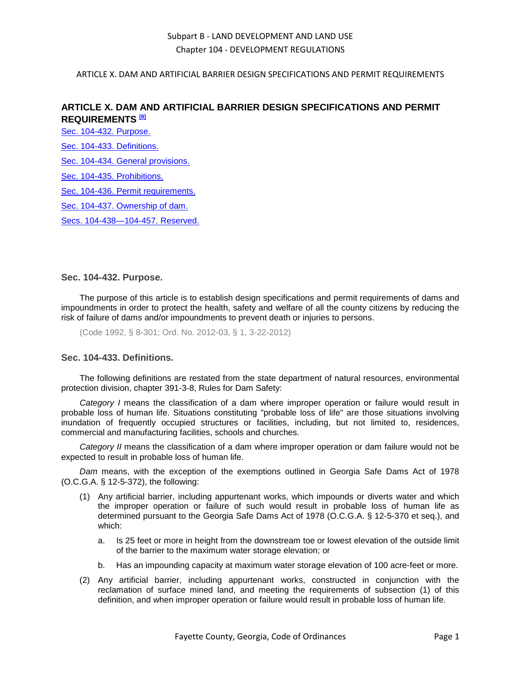#### ARTICLE X. DAM AND ARTIFICIAL BARRIER DESIGN SPECIFICATIONS AND PERMIT REQUIREMENTS

# **ARTICLE X. DAM AND ARTIFICIAL BARRIER DESIGN SPECIFICATIONS AND PERMIT REQUIREMENTS [8]**

[Sec. 104-432. Purpose.](#page-0-0)

[Sec. 104-433. Definitions.](#page-0-1)

[Sec. 104-434. General provisions.](#page-1-0)

[Sec. 104-435. Prohibitions.](#page-1-1)

[Sec. 104-436. Permit requirements.](#page-1-2)

[Sec. 104-437. Ownership of dam.](#page-3-0)

[Secs. 104-438—104-457. Reserved.](#page-3-1)

#### <span id="page-0-0"></span>**Sec. 104-432. Purpose.**

The purpose of this article is to establish design specifications and permit requirements of dams and impoundments in order to protect the health, safety and welfare of all the county citizens by reducing the risk of failure of dams and/or impoundments to prevent death or injuries to persons.

(Code 1992, § 8-301; Ord. No. 2012-03, § 1, 3-22-2012)

## <span id="page-0-1"></span>**Sec. 104-433. Definitions.**

The following definitions are restated from the state department of natural resources, environmental protection division, chapter 391-3-8, Rules for Dam Safety:

*Category I* means the classification of a dam where improper operation or failure would result in probable loss of human life. Situations constituting "probable loss of life" are those situations involving inundation of frequently occupied structures or facilities, including, but not limited to, residences, commercial and manufacturing facilities, schools and churches.

*Category II* means the classification of a dam where improper operation or dam failure would not be expected to result in probable loss of human life.

*Dam* means, with the exception of the exemptions outlined in Georgia Safe Dams Act of 1978 (O.C.G.A. § 12-5-372), the following:

- (1) Any artificial barrier, including appurtenant works, which impounds or diverts water and which the improper operation or failure of such would result in probable loss of human life as determined pursuant to the Georgia Safe Dams Act of 1978 (O.C.G.A. § 12-5-370 et seq.), and which:
	- a. Is 25 feet or more in height from the downstream toe or lowest elevation of the outside limit of the barrier to the maximum water storage elevation; or
	- b. Has an impounding capacity at maximum water storage elevation of 100 acre-feet or more.
- (2) Any artificial barrier, including appurtenant works, constructed in conjunction with the reclamation of surface mined land, and meeting the requirements of subsection (1) of this definition, and when improper operation or failure would result in probable loss of human life.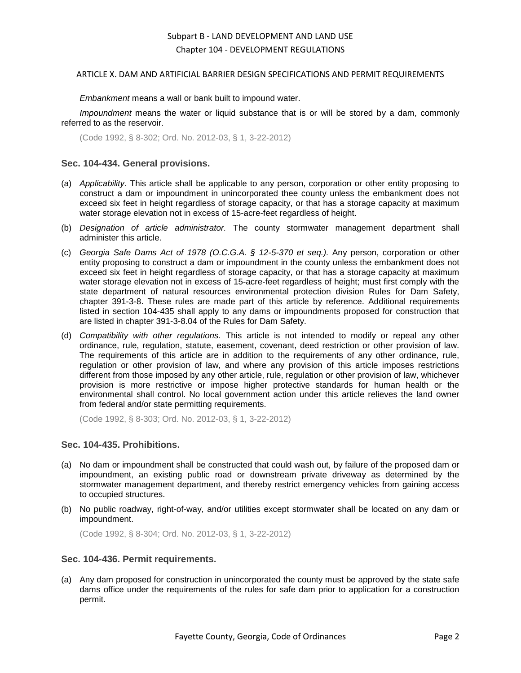#### ARTICLE X. DAM AND ARTIFICIAL BARRIER DESIGN SPECIFICATIONS AND PERMIT REQUIREMENTS

*Embankment* means a wall or bank built to impound water.

*Impoundment* means the water or liquid substance that is or will be stored by a dam, commonly referred to as the reservoir.

(Code 1992, § 8-302; Ord. No. 2012-03, § 1, 3-22-2012)

### <span id="page-1-0"></span>**Sec. 104-434. General provisions.**

- (a) *Applicability.* This article shall be applicable to any person, corporation or other entity proposing to construct a dam or impoundment in unincorporated thee county unless the embankment does not exceed six feet in height regardless of storage capacity, or that has a storage capacity at maximum water storage elevation not in excess of 15-acre-feet regardless of height.
- (b) *Designation of article administrator.* The county stormwater management department shall administer this article.
- (c) *Georgia Safe Dams Act of 1978 (O.C.G.A. § 12-5-370 et seq.).* Any person, corporation or other entity proposing to construct a dam or impoundment in the county unless the embankment does not exceed six feet in height regardless of storage capacity, or that has a storage capacity at maximum water storage elevation not in excess of 15-acre-feet regardless of height; must first comply with the state department of natural resources environmental protection division Rules for Dam Safety, chapter 391-3-8. These rules are made part of this article by reference. Additional requirements listed in section 104-435 shall apply to any dams or impoundments proposed for construction that are listed in chapter 391-3-8.04 of the Rules for Dam Safety.
- (d) *Compatibility with other regulations.* This article is not intended to modify or repeal any other ordinance, rule, regulation, statute, easement, covenant, deed restriction or other provision of law. The requirements of this article are in addition to the requirements of any other ordinance, rule, regulation or other provision of law, and where any provision of this article imposes restrictions different from those imposed by any other article, rule, regulation or other provision of law, whichever provision is more restrictive or impose higher protective standards for human health or the environmental shall control. No local government action under this article relieves the land owner from federal and/or state permitting requirements.

(Code 1992, § 8-303; Ord. No. 2012-03, § 1, 3-22-2012)

#### <span id="page-1-1"></span>**Sec. 104-435. Prohibitions.**

- (a) No dam or impoundment shall be constructed that could wash out, by failure of the proposed dam or impoundment, an existing public road or downstream private driveway as determined by the stormwater management department, and thereby restrict emergency vehicles from gaining access to occupied structures.
- (b) No public roadway, right-of-way, and/or utilities except stormwater shall be located on any dam or impoundment.

(Code 1992, § 8-304; Ord. No. 2012-03, § 1, 3-22-2012)

### <span id="page-1-2"></span>**Sec. 104-436. Permit requirements.**

(a) Any dam proposed for construction in unincorporated the county must be approved by the state safe dams office under the requirements of the rules for safe dam prior to application for a construction permit.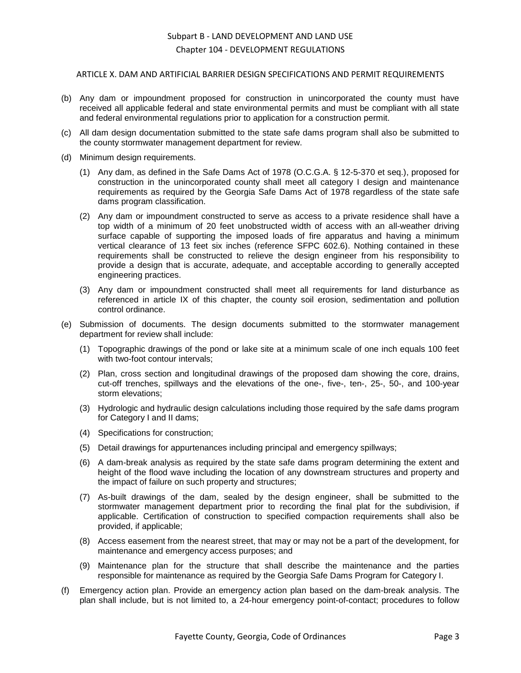#### ARTICLE X. DAM AND ARTIFICIAL BARRIER DESIGN SPECIFICATIONS AND PERMIT REQUIREMENTS

- (b) Any dam or impoundment proposed for construction in unincorporated the county must have received all applicable federal and state environmental permits and must be compliant with all state and federal environmental regulations prior to application for a construction permit.
- (c) All dam design documentation submitted to the state safe dams program shall also be submitted to the county stormwater management department for review.
- (d) Minimum design requirements.
	- (1) Any dam, as defined in the Safe Dams Act of 1978 (O.C.G.A. § 12-5-370 et seq.), proposed for construction in the unincorporated county shall meet all category I design and maintenance requirements as required by the Georgia Safe Dams Act of 1978 regardless of the state safe dams program classification.
	- (2) Any dam or impoundment constructed to serve as access to a private residence shall have a top width of a minimum of 20 feet unobstructed width of access with an all-weather driving surface capable of supporting the imposed loads of fire apparatus and having a minimum vertical clearance of 13 feet six inches (reference SFPC 602.6). Nothing contained in these requirements shall be constructed to relieve the design engineer from his responsibility to provide a design that is accurate, adequate, and acceptable according to generally accepted engineering practices.
	- (3) Any dam or impoundment constructed shall meet all requirements for land disturbance as referenced in article IX of this chapter, the county soil erosion, sedimentation and pollution control ordinance.
- (e) Submission of documents. The design documents submitted to the stormwater management department for review shall include:
	- (1) Topographic drawings of the pond or lake site at a minimum scale of one inch equals 100 feet with two-foot contour intervals;
	- (2) Plan, cross section and longitudinal drawings of the proposed dam showing the core, drains, cut-off trenches, spillways and the elevations of the one-, five-, ten-, 25-, 50-, and 100-year storm elevations;
	- (3) Hydrologic and hydraulic design calculations including those required by the safe dams program for Category I and II dams;
	- (4) Specifications for construction;
	- (5) Detail drawings for appurtenances including principal and emergency spillways;
	- (6) A dam-break analysis as required by the state safe dams program determining the extent and height of the flood wave including the location of any downstream structures and property and the impact of failure on such property and structures;
	- (7) As-built drawings of the dam, sealed by the design engineer, shall be submitted to the stormwater management department prior to recording the final plat for the subdivision, if applicable. Certification of construction to specified compaction requirements shall also be provided, if applicable;
	- (8) Access easement from the nearest street, that may or may not be a part of the development, for maintenance and emergency access purposes; and
	- (9) Maintenance plan for the structure that shall describe the maintenance and the parties responsible for maintenance as required by the Georgia Safe Dams Program for Category I.
- (f) Emergency action plan. Provide an emergency action plan based on the dam-break analysis. The plan shall include, but is not limited to, a 24-hour emergency point-of-contact; procedures to follow